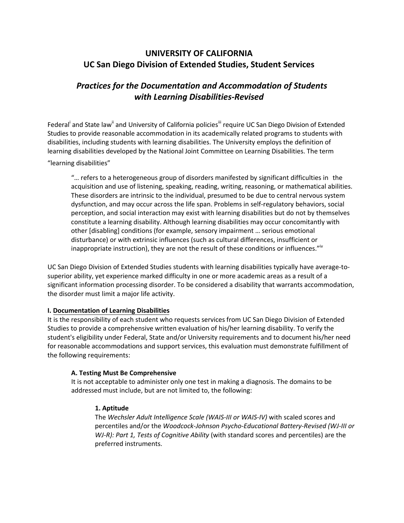# **UNIVERSITY OF CALIFORNIA UC San Diego Division of Extended Studies, Student Services**

# *Practices for the Documentation and Accommodation of Students with Learning Disabilities-Revised*

Federal<sup>i</sup> and State law<sup>ii</sup> and University of California policies<sup>iii</sup> require UC San Diego Division of Extended Studies to provide reasonable accommodation in its academically related programs to students with disabilities, including students with learning disabilities. The University employs the definition of learning disabilities developed by the National Joint Committee on Learning Disabilities. The term

#### "learning disabilities"

"… refers to a heterogeneous group of disorders manifested by significant difficulties in the acquisition and use of listening, speaking, reading, writing, reasoning, or mathematical abilities. These disorders are intrinsic to the individual, presumed to be due to central nervous system dysfunction, and may occur across the life span. Problems in self-regulatory behaviors, social perception, and social interaction may exist with learning disabilities but do not by themselves constitute a learning disability. Although learning disabilities may occur concomitantly with other [disabling] conditions (for example, sensory impairment … serious emotional disturbance) or with extrinsic influences (such as cultural differences, insufficient or inappropriate instruction), they are not the result of these conditions or influences."<sup>iv</sup>

UC San Diego Division of Extended Studies students with learning disabilities typically have average-tosuperior ability, yet experience marked difficulty in one or more academic areas as a result of a significant information processing disorder. To be considered a disability that warrants accommodation, the disorder must limit a major life activity.

# **I. Documentation of Learning Disabilities**

It is the responsibility of each student who requests services from UC San Diego Division of Extended Studies to provide a comprehensive written evaluation of his/her learning disability. To verify the student's eligibility under Federal, State and/or University requirements and to document his/her need for reasonable accommodations and support services, this evaluation must demonstrate fulfillment of the following requirements:

#### **A. Testing Must Be Comprehensive**

It is not acceptable to administer only one test in making a diagnosis. The domains to be addressed must include, but are not limited to, the following:

#### **1. Aptitude**

The *Wechsler Adult Intelligence Scale (WAIS-III or WAIS-IV)* with scaled scores and percentiles and/or the *Woodcock-Johnson Psycho-Educational Battery-Revised (WJ-III or WJ-R): Part 1, Tests of Cognitive Ability* (with standard scores and percentiles) are the preferred instruments.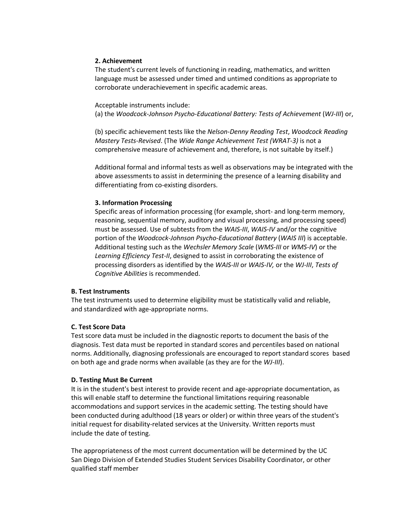#### **2. Achievement**

The student's current levels of functioning in reading, mathematics, and written language must be assessed under timed and untimed conditions as appropriate to corroborate underachievement in specific academic areas.

Acceptable instruments include:

(a) the *Woodcock-Johnson Psycho-Educational Battery: Tests of Achievement* (*WJ-III*) or,

(b) specific achievement tests like the *Nelson-Denny Reading Test*, *Woodcock Reading Mastery Tests-Revised*. (The *Wide Range Achievement Test (WRAT-3)* is not a comprehensive measure of achievement and, therefore, is not suitable by itself.)

Additional formal and informal tests as well as observations may be integrated with the above assessments to assist in determining the presence of a learning disability and differentiating from co-existing disorders.

# **3. Information Processing**

Specific areas of information processing (for example, short- and long-term memory, reasoning, sequential memory, auditory and visual processing, and processing speed) must be assessed. Use of subtests from the *WAIS-III*, *WAIS-IV* and/or the cognitive portion of the *Woodcock-Johnson Psycho-Educational Battery* (*WAIS III*) is acceptable. Additional testing such as the *Wechsler Memory Scale* (*WMS-III* or *WMS-IV*) or the *Learning Efficiency Test-II*, designed to assist in corroborating the existence of processing disorders as identified by the *WAIS-III* or *WAIS-IV,* or the *WJ-III*, *Tests of Cognitive Abilities* is recommended.

# **B. Test Instruments**

The test instruments used to determine eligibility must be statistically valid and reliable, and standardized with age-appropriate norms.

# **C. Test Score Data**

Test score data must be included in the diagnostic reports to document the basis of the diagnosis. Test data must be reported in standard scores and percentiles based on national norms. Additionally, diagnosing professionals are encouraged to report standard scores based on both age and grade norms when available (as they are for the *WJ-III*).

# **D. Testing Must Be Current**

It is in the student's best interest to provide recent and age-appropriate documentation, as this will enable staff to determine the functional limitations requiring reasonable accommodations and support services in the academic setting. The testing should have been conducted during adulthood (18 years or older) or within three years of the student's initial request for disability-related services at the University. Written reports must include the date of testing.

The appropriateness of the most current documentation will be determined by the UC San Diego Division of Extended Studies Student Services Disability Coordinator, or other qualified staff member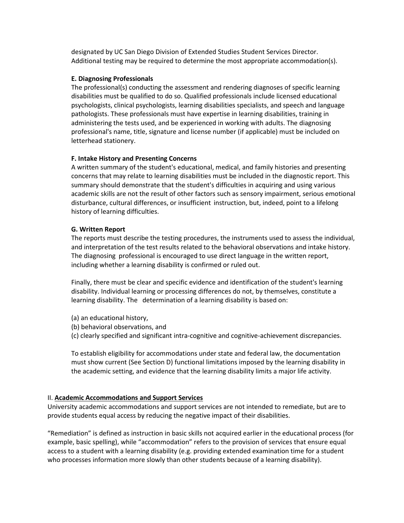designated by UC San Diego Division of Extended Studies Student Services Director. Additional testing may be required to determine the most appropriate accommodation(s).

#### **E. Diagnosing Professionals**

The professional(s) conducting the assessment and rendering diagnoses of specific learning disabilities must be qualified to do so. Qualified professionals include licensed educational psychologists, clinical psychologists, learning disabilities specialists, and speech and language pathologists. These professionals must have expertise in learning disabilities, training in administering the tests used, and be experienced in working with adults. The diagnosing professional's name, title, signature and license number (if applicable) must be included on letterhead stationery.

# **F. Intake History and Presenting Concerns**

A written summary of the student's educational, medical, and family histories and presenting concerns that may relate to learning disabilities must be included in the diagnostic report. This summary should demonstrate that the student's difficulties in acquiring and using various academic skills are not the result of other factors such as sensory impairment, serious emotional disturbance, cultural differences, or insufficient instruction, but, indeed, point to a lifelong history of learning difficulties.

# **G. Written Report**

The reports must describe the testing procedures, the instruments used to assess the individual, and interpretation of the test results related to the behavioral observations and intake history. The diagnosing professional is encouraged to use direct language in the written report, including whether a learning disability is confirmed or ruled out.

Finally, there must be clear and specific evidence and identification of the student's learning disability. Individual learning or processing differences do not, by themselves, constitute a learning disability. The determination of a learning disability is based on:

- (a) an educational history,
- (b) behavioral observations, and
- (c) clearly specified and significant intra-cognitive and cognitive-achievement discrepancies.

To establish eligibility for accommodations under state and federal law, the documentation must show current (See Section D) functional limitations imposed by the learning disability in the academic setting, and evidence that the learning disability limits a major life activity.

# II. **Academic Accommodations and Support Services**

University academic accommodations and support services are not intended to remediate, but are to provide students equal access by reducing the negative impact of their disabilities.

"Remediation" is defined as instruction in basic skills not acquired earlier in the educational process (for example, basic spelling), while "accommodation" refers to the provision of services that ensure equal access to a student with a learning disability (e.g. providing extended examination time for a student who processes information more slowly than other students because of a learning disability).